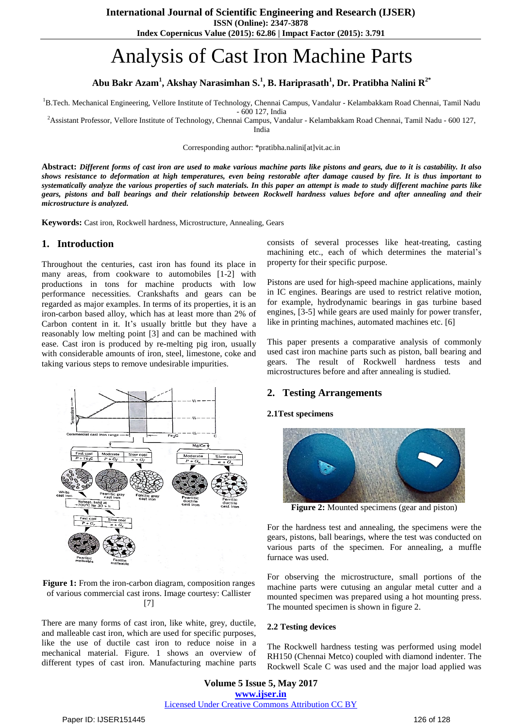**ISSN (Online): 2347-3878**

**Index Copernicus Value (2015): 62.86 | Impact Factor (2015): 3.791**

# Analysis of Cast Iron Machine Parts

# **Abu Bakr Azam<sup>1</sup> , Akshay Narasimhan S.<sup>1</sup> , B. Hariprasath<sup>1</sup> , Dr. Pratibha Nalini R2\***

<sup>1</sup>B.Tech. Mechanical Engineering, Vellore Institute of Technology, Chennai Campus, Vandalur - Kelambakkam Road Chennai, Tamil Nadu

- 600 127, India

<sup>2</sup>Assistant Professor, Vellore Institute of Technology, Chennai Campus, Vandalur - Kelambakkam Road Chennai, Tamil Nadu - 600 127,

India

Corresponding author: \*pratibha.nalini[at]vit.ac.in

Abstract: Different forms of cast iron are used to make various machine parts like pistons and gears, due to it is castability. It also shows resistance to deformation at high temperatures, even being restorable after damage caused by fire. It is thus important to systematically analyze the various properties of such materials. In this paper an attempt is made to study different machine parts like gears, pistons and ball bearings and their relationship between Rockwell hardness values before and after annealing and their *microstructure is analyzed.*

**Keywords:** Cast iron, Rockwell hardness, Microstructure, Annealing, Gears

## **1. Introduction**

Throughout the centuries, cast iron has found its place in many areas, from cookware to automobiles [1-2] with productions in tons for machine products with low performance necessities. Crankshafts and gears can be regarded as major examples. In terms of its properties, it is an iron-carbon based alloy, which has at least more than 2% of Carbon content in it. It's usually brittle but they have a reasonably low melting point [3] and can be machined with ease. Cast iron is produced by re-melting pig iron, usually with considerable amounts of iron, steel, limestone, coke and taking various steps to remove undesirable impurities.



**Figure 1:** From the iron-carbon diagram, composition ranges of various commercial cast irons. Image courtesy: Callister [7]

There are many forms of cast iron, like white, grey, ductile, and malleable cast iron, which are used for specific purposes, like the use of ductile cast iron to reduce noise in a mechanical material. Figure. 1 shows an overview of different types of cast iron. Manufacturing machine parts consists of several processes like heat-treating, casting machining etc., each of which determines the material's property for their specific purpose.

Pistons are used for high-speed machine applications, mainly in IC engines. Bearings are used to restrict relative motion, for example, hydrodynamic bearings in gas turbine based engines, [3-5] while gears are used mainly for power transfer, like in printing machines, automated machines etc. [6]

This paper presents a comparative analysis of commonly used cast iron machine parts such as piston, ball bearing and gears. The result of Rockwell hardness tests and microstructures before and after annealing is studied.

### **2. Testing Arrangements**

## **2.1Test specimens**



**Figure 2:** Mounted specimens (gear and piston)

For the hardness test and annealing, the specimens were the gears, pistons, ball bearings, where the test was conducted on various parts of the specimen. For annealing, a muffle furnace was used.

For observing the microstructure, small portions of the machine parts were cutusing an angular metal cutter and a mounted specimen was prepared using a hot mounting press. The mounted specimen is shown in figure 2.

#### **2.2 Testing devices**

The Rockwell hardness testing was performed using model RH150 (Chennai Metco) coupled with diamond indenter. The Rockwell Scale C was used and the major load applied was

**Volume 5 Issue 5, May 2017 www.ijser.in** Licensed Under Creative Commons Attribution CC BY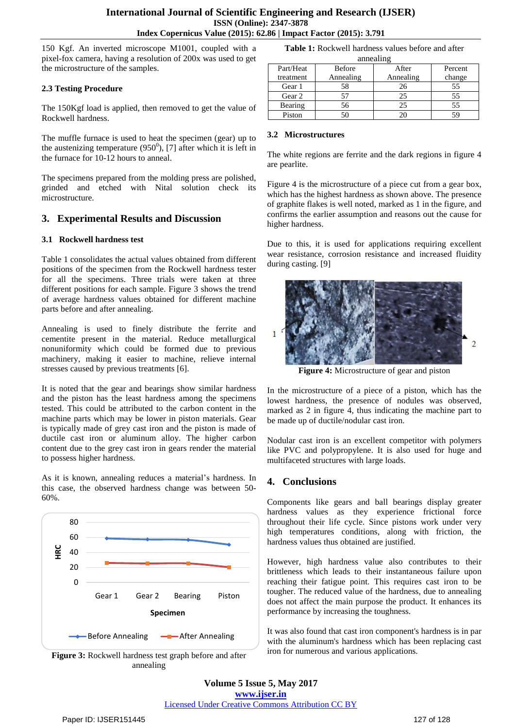150 Kgf. An inverted microscope M1001, coupled with a pixel-fox camera, having a resolution of 200x was used to get the microstructure of the samples.

### **2.3 Testing Procedure**

The 150Kgf load is applied, then removed to get the value of Rockwell hardness.

The muffle furnace is used to heat the specimen (gear) up to the austenizing temperature  $(950^0)$ , [7] after which it is left in the furnace for 10-12 hours to anneal.

The specimens prepared from the molding press are polished, grinded and etched with Nital solution check its microstructure.

## **3. Experimental Results and Discussion**

#### **3.1 Rockwell hardness test**

Table 1 consolidates the actual values obtained from different positions of the specimen from the Rockwell hardness tester for all the specimens. Three trials were taken at three different positions for each sample. Figure 3 shows the trend of average hardness values obtained for different machine parts before and after annealing.

Annealing is used to finely distribute the ferrite and cementite present in the material. Reduce metallurgical nonuniformity which could be formed due to previous machinery, making it easier to machine, relieve internal stresses caused by previous treatments [6].

It is noted that the gear and bearings show similar hardness and the piston has the least hardness among the specimens tested. This could be attributed to the carbon content in the machine parts which may be lower in piston materials. Gear is typically made of grey cast iron and the piston is made of ductile cast iron or aluminum alloy. The higher carbon content due to the grey cast iron in gears render the material to possess higher hardness.

As it is known, annealing reduces a material's hardness. In this case, the observed hardness change was between 50- 60%.



**Figure 3:** Rockwell hardness test graph before and after annealing

**Table 1:** Rockwell hardness values before and after annealing

| annoanne  |               |           |         |
|-----------|---------------|-----------|---------|
| Part/Heat | <b>Before</b> | After     | Percent |
| treatment | Annealing     | Annealing | change  |
| Gear 1    | 58            | 26        | 55      |
| Gear 2    | 57            | 25        | 55      |
| Bearing   | 56            | 25        | 55      |
| Piston    |               |           |         |

#### **3.2 Microstructures**

The white regions are ferrite and the dark regions in figure 4 are pearlite.

Figure 4 is the microstructure of a piece cut from a gear box, which has the highest hardness as shown above. The presence of graphite flakes is well noted, marked as 1 in the figure, and confirms the earlier assumption and reasons out the cause for higher hardness.

Due to this, it is used for applications requiring excellent wear resistance, corrosion resistance and increased fluidity during casting. [9]



**Figure 4:** Microstructure of gear and piston

In the microstructure of a piece of a piston, which has the lowest hardness, the presence of nodules was observed, marked as 2 in figure 4, thus indicating the machine part to be made up of ductile/nodular cast iron.

Nodular cast iron is an excellent competitor with polymers like PVC and polypropylene. It is also used for huge and multifaceted structures with large loads.

## **4. Conclusions**

Components like gears and ball bearings display greater hardness values as they experience frictional force throughout their life cycle. Since pistons work under very high temperatures conditions, along with friction, the hardness values thus obtained are justified.

However, high hardness value also contributes to their brittleness which leads to their instantaneous failure upon reaching their fatigue point. This requires cast iron to be tougher. The reduced value of the hardness, due to annealing does not affect the main purpose the product. It enhances its performance by increasing the toughness.

It was also found that cast iron component's hardness is in par with the aluminum's hardness which has been replacing cast iron for numerous and various applications.